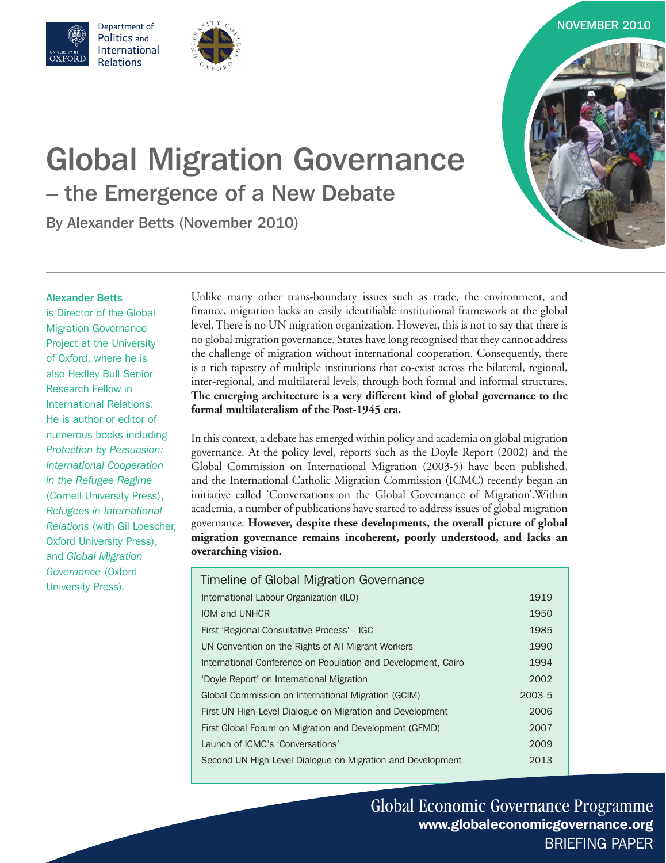

# Global Migration Governance – the Emergence of a New Debate

By Alexander Betts (November 2010)

Department of Politics and International

**Relations** 

#### Alexander Betts

WEBIT OF<br>)X FOR D

is Director of the Global Migration Governance Project at the University of Oxford, where he is also Hedley Bull Senior Research Fellow in International Relations. He is author or editor of numerous books including *Protection by Persuasion: International Cooperation in the Refugee Regime* (Cornell University Press), *Refugees in International Relations* (with Gil Loescher, Oxford University Press), and *Global Migration Governance* (Oxford University Press).

Unlike many other trans-boundary issues such as trade, the environment, and finance, migration lacks an easily identifiable institutional framework at the global level. There is no UN migration organization. However, this is not to say that there is no global migration governance. States have long recognised that they cannot address the challenge of migration without international cooperation. Consequently, there is a rich tapestry of multiple institutions that co-exist across the bilateral, regional, inter-regional, and multilateral levels, through both formal and informal structures. **The emerging architecture is a very different kind of global governance to the formal multilateralism of the Post-1945 era.** 

In this context, a debate has emerged within policy and academia on global migration governance. At the policy level, reports such as the Doyle Report (2002) and the Global Commission on International Migration (2003-5) have been published, and the International Catholic Migration Commission (ICMC) recently began an initiative called 'Conversations on the Global Governance of Migration'.Within academia, a number of publications have started to address issues of global migration governance. **However, despite these developments, the overall picture of global migration governance remains incoherent, poorly understood, and lacks an overarching vision.**

| Timeline of Global Migration Governance                       |        |
|---------------------------------------------------------------|--------|
| International Labour Organization (ILO)                       | 1919   |
| IOM and UNHCR                                                 | 1950   |
| First 'Regional Consultative Process' - IGC                   | 1985   |
| UN Convention on the Rights of All Migrant Workers            | 1990   |
| International Conference on Population and Development, Cairo | 1994   |
| 'Doyle Report' on International Migration                     | 2002   |
| Global Commission on International Migration (GCIM)           | 2003-5 |
| First UN High-Level Dialogue on Migration and Development     | 2006   |
| First Global Forum on Migration and Development (GFMD)        | 2007   |
| Launch of ICMC's 'Conversations'                              | 2009   |
| Second UN High-Level Dialogue on Migration and Development    | 2013   |

Global Economic Governance Programme www.globaleconomicgovernance.org BRIEFING PAPER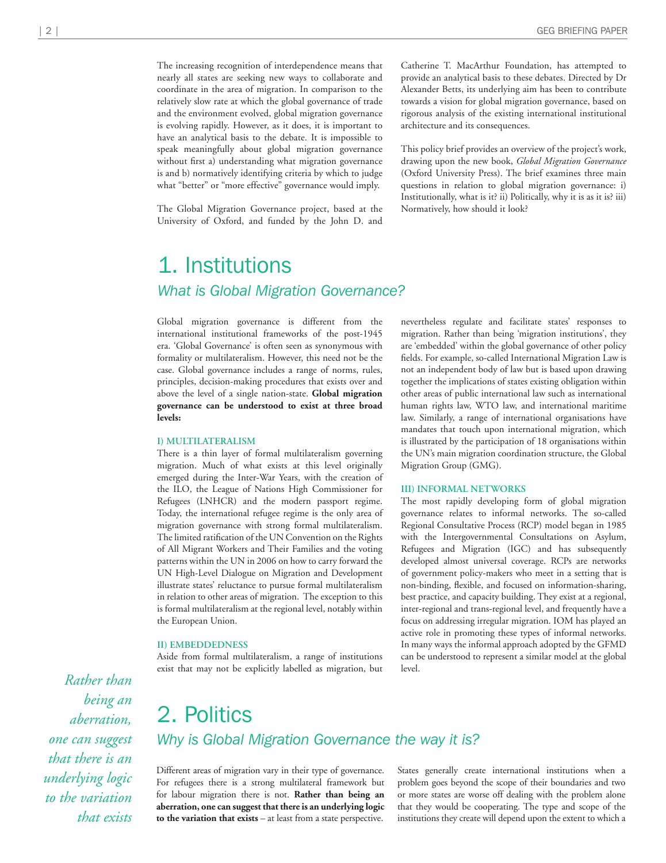The increasing recognition of interdependence means that nearly all states are seeking new ways to collaborate and coordinate in the area of migration. In comparison to the relatively slow rate at which the global governance of trade and the environment evolved, global migration governance is evolving rapidly. However, as it does, it is important to have an analytical basis to the debate. It is impossible to speak meaningfully about global migration governance without first a) understanding what migration governance is and b) normatively identifying criteria by which to judge what "better" or "more effective" governance would imply.

The Global Migration Governance project, based at the University of Oxford, and funded by the John D. and

Catherine T. MacArthur Foundation, has attempted to provide an analytical basis to these debates. Directed by Dr Alexander Betts, its underlying aim has been to contribute towards a vision for global migration governance, based on rigorous analysis of the existing international institutional architecture and its consequences.

This policy brief provides an overview of the project's work, drawing upon the new book, *Global Migration Governance*  (Oxford University Press). The brief examines three main questions in relation to global migration governance: i) Institutionally, what is it? ii) Politically, why it is as it is? iii) Normatively, how should it look?

# 1. Institutions

#### *What is Global Migration Governance?*

Global migration governance is different from the international institutional frameworks of the post-1945 era. 'Global Governance' is often seen as synonymous with formality or multilateralism. However, this need not be the case. Global governance includes a range of norms, rules, principles, decision-making procedures that exists over and above the level of a single nation-state. **Global migration governance can be understood to exist at three broad levels:**

#### **I) MULTILATERALISM**

There is a thin layer of formal multilateralism governing migration. Much of what exists at this level originally emerged during the Inter-War Years, with the creation of the ILO, the League of Nations High Commissioner for Refugees (LNHCR) and the modern passport regime. Today, the international refugee regime is the only area of migration governance with strong formal multilateralism. The limited ratification of the UN Convention on the Rights of All Migrant Workers and Their Families and the voting patterns within the UN in 2006 on how to carry forward the UN High-Level Dialogue on Migration and Development illustrate states' reluctance to pursue formal multilateralism in relation to other areas of migration. The exception to this is formal multilateralism at the regional level, notably within the European Union.

#### **II) EMBEDDEDNESS**

Aside from formal multilateralism, a range of institutions exist that may not be explicitly labelled as migration, but

nevertheless regulate and facilitate states' responses to migration. Rather than being 'migration institutions', they are 'embedded' within the global governance of other policy fields. For example, so-called International Migration Law is not an independent body of law but is based upon drawing together the implications of states existing obligation within other areas of public international law such as international human rights law, WTO law, and international maritime law. Similarly, a range of international organisations have mandates that touch upon international migration, which is illustrated by the participation of 18 organisations within the UN's main migration coordination structure, the Global Migration Group (GMG).

#### **III) INFORMAL NETWORKS**

The most rapidly developing form of global migration governance relates to informal networks. The so-called Regional Consultative Process (RCP) model began in 1985 with the Intergovernmental Consultations on Asylum, Refugees and Migration (IGC) and has subsequently developed almost universal coverage. RCPs are networks of government policy-makers who meet in a setting that is non-binding, flexible, and focused on information-sharing, best practice, and capacity building. They exist at a regional, inter-regional and trans-regional level, and frequently have a focus on addressing irregular migration. IOM has played an active role in promoting these types of informal networks. In many ways the informal approach adopted by the GFMD can be understood to represent a similar model at the global level.

### 2. Politics *Why is Global Migration Governance the way it is?*

Different areas of migration vary in their type of governance. For refugees there is a strong multilateral framework but for labour migration there is not. **Rather than being an aberration, one can suggest that there is an underlying logic to the variation that exists** – at least from a state perspective.

States generally create international institutions when a problem goes beyond the scope of their boundaries and two or more states are worse off dealing with the problem alone that they would be cooperating. The type and scope of the institutions they create will depend upon the extent to which a

*Rather than being an aberration, one can suggest that there is an underlying logic to the variation that exists*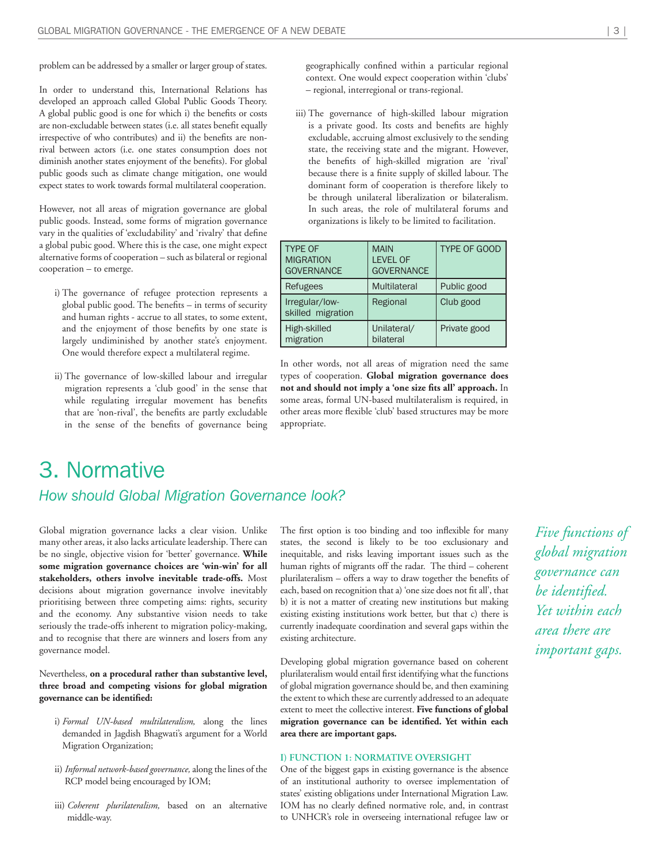problem can be addressed by a smaller or larger group of states.

In order to understand this, International Relations has developed an approach called Global Public Goods Theory. A global public good is one for which i) the benefits or costs are non-excludable between states (i.e. all states benefit equally irrespective of who contributes) and ii) the benefits are nonrival between actors (i.e. one states consumption does not diminish another states enjoyment of the benefits). For global public goods such as climate change mitigation, one would expect states to work towards formal multilateral cooperation.

However, not all areas of migration governance are global public goods. Instead, some forms of migration governance vary in the qualities of 'excludability' and 'rivalry' that define a global pubic good. Where this is the case, one might expect alternative forms of cooperation – such as bilateral or regional cooperation – to emerge.

- i) The governance of refugee protection represents a global public good. The benefits – in terms of security and human rights - accrue to all states, to some extent, and the enjoyment of those benefits by one state is largely undiminished by another state's enjoyment. One would therefore expect a multilateral regime.
- ii) The governance of low-skilled labour and irregular migration represents a 'club good' in the sense that while regulating irregular movement has benefits that are 'non-rival', the benefits are partly excludable in the sense of the benefits of governance being

geographically confined within a particular regional context. One would expect cooperation within 'clubs' – regional, interregional or trans-regional.

iii) The governance of high-skilled labour migration is a private good. Its costs and benefits are highly excludable, accruing almost exclusively to the sending state, the receiving state and the migrant. However, the benefits of high-skilled migration are 'rival' because there is a finite supply of skilled labour. The dominant form of cooperation is therefore likely to be through unilateral liberalization or bilateralism. In such areas, the role of multilateral forums and organizations is likely to be limited to facilitation.

| <b>TYPE OF</b><br><b>MIGRATION</b><br><b>GOVERNANCE</b> | <b>MAIN</b><br><b>LEVEL OF</b><br><b>GOVERNANCE</b> | <b>TYPE OF GOOD</b> |
|---------------------------------------------------------|-----------------------------------------------------|---------------------|
| Refugees                                                | <b>Multilateral</b>                                 | Public good         |
| Irregular/low-<br>skilled migration                     | Regional                                            | Club good           |
| High-skilled<br>migration                               | Unilateral/<br>bilateral                            | Private good        |

In other words, not all areas of migration need the same types of cooperation. **Global migration governance does not and should not imply a 'one size fits all' approach.** In some areas, formal UN-based multilateralism is required, in other areas more flexible 'club' based structures may be more appropriate.

### 3. Normative *How should Global Migration Governance look?*

Global migration governance lacks a clear vision. Unlike many other areas, it also lacks articulate leadership. There can be no single, objective vision for 'better' governance. **While some migration governance choices are 'win-win' for all stakeholders, others involve inevitable trade-offs.** Most decisions about migration governance involve inevitably prioritising between three competing aims: rights, security and the economy. Any substantive vision needs to take seriously the trade-offs inherent to migration policy-making, and to recognise that there are winners and losers from any governance model.

Nevertheless, **on a procedural rather than substantive level, three broad and competing visions for global migration governance can be identified:**

- i) *Formal UN-based multilateralism,* along the lines demanded in Jagdish Bhagwati's argument for a World Migration Organization;
- ii) *Informal network-based governance,* along the lines of the RCP model being encouraged by IOM;
- iii) *Coherent plurilateralism,* based on an alternative middle-way.

The first option is too binding and too inflexible for many states, the second is likely to be too exclusionary and inequitable, and risks leaving important issues such as the human rights of migrants off the radar. The third – coherent plurilateralism – offers a way to draw together the benefits of each, based on recognition that a) 'one size does not fit all', that b) it is not a matter of creating new institutions but making existing existing institutions work better, but that c) there is currently inadequate coordination and several gaps within the existing architecture.

Developing global migration governance based on coherent plurilateralism would entail first identifying what the functions of global migration governance should be, and then examining the extent to which these are currently addressed to an adequate extent to meet the collective interest. **Five functions of global migration governance can be identified. Yet within each area there are important gaps.**

#### **I) FUNCTION 1: NORMATIVE OVERSIGHT**

One of the biggest gaps in existing governance is the absence of an institutional authority to oversee implementation of states' existing obligations under International Migration Law. IOM has no clearly defined normative role, and, in contrast to UNHCR's role in overseeing international refugee law or

*Five functions of global migration governance can be identified. Yet within each area there are important gaps.*